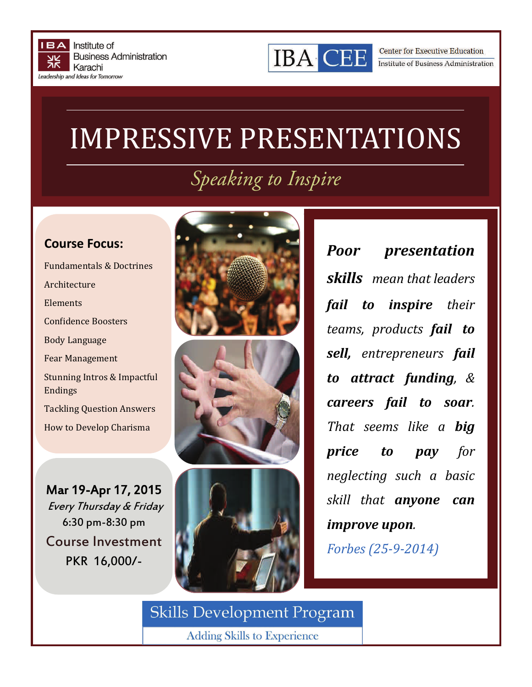



**Center for Executive Education** Institute of Business Administration

## **IMPRESSIVE PRESENTATIONS**

## *Speaking to Inspire*

## **Course Focus:**

Fundamentals & Doctrines Architecture Elements Confidence Boosters Body Language Fear Management Stunning Intros & Impactful Endings **Tackling Question Answers** How to Develop Charisma 

Mar 19-Apr 17, 2015 Every Thursday & Friday 6:30 pm-8:30 pm Course Investment PKR 16,000/-



*Poor presentation skills mean that leaders fail to inspire their teams, products fail to sell, entrepreneurs fail to attract funding, & careers fail to soar. That seems like a big price to pay for neglecting such a basic skill that anyone can improve upon*.

*Forbes (25‐9‐2014)*

**Skills Development Program** 

**Adding Skills to Experience**